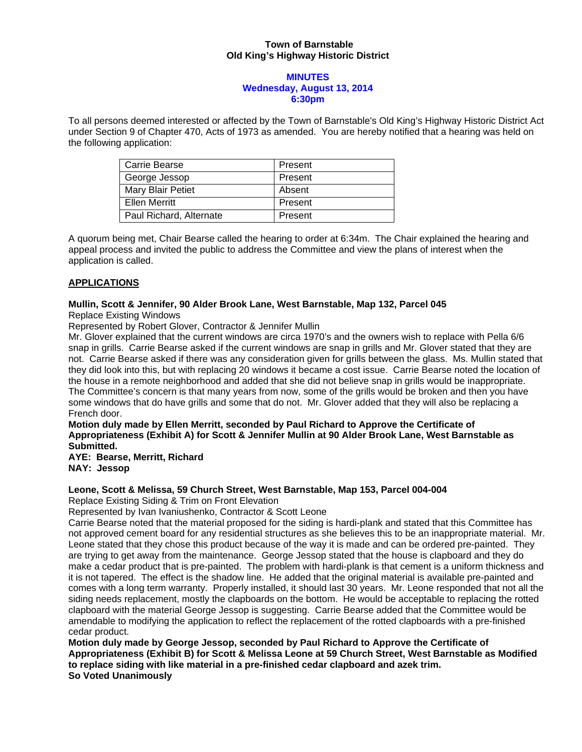## **Town of Barnstable Old King's Highway Historic District**

#### **MINUTES Wednesday, August 13, 2014 6:30pm**

To all persons deemed interested or affected by the Town of Barnstable's Old King's Highway Historic District Act under Section 9 of Chapter 470, Acts of 1973 as amended. You are hereby notified that a hearing was held on the following application:

| Carrie Bearse           | Present |
|-------------------------|---------|
| George Jessop           | Present |
| Mary Blair Petiet       | Absent  |
| Ellen Merritt           | Present |
| Paul Richard, Alternate | Present |

A quorum being met, Chair Bearse called the hearing to order at 6:34m. The Chair explained the hearing and appeal process and invited the public to address the Committee and view the plans of interest when the application is called.

# **APPLICATIONS**

## **Mullin, Scott & Jennifer, 90 Alder Brook Lane, West Barnstable, Map 132, Parcel 045**  Replace Existing Windows

Represented by Robert Glover, Contractor & Jennifer Mullin

Mr. Glover explained that the current windows are circa 1970's and the owners wish to replace with Pella 6/6 snap in grills. Carrie Bearse asked if the current windows are snap in grills and Mr. Glover stated that they are not. Carrie Bearse asked if there was any consideration given for grills between the glass. Ms. Mullin stated that they did look into this, but with replacing 20 windows it became a cost issue. Carrie Bearse noted the location of the house in a remote neighborhood and added that she did not believe snap in grills would be inappropriate. The Committee's concern is that many years from now, some of the grills would be broken and then you have some windows that do have grills and some that do not. Mr. Glover added that they will also be replacing a French door.

**Motion duly made by Ellen Merritt, seconded by Paul Richard to Approve the Certificate of Appropriateness (Exhibit A) for Scott & Jennifer Mullin at 90 Alder Brook Lane, West Barnstable as Submitted.** 

**AYE: Bearse, Merritt, Richard NAY: Jessop** 

#### **Leone, Scott & Melissa, 59 Church Street, West Barnstable, Map 153, Parcel 004-004**

Replace Existing Siding & Trim on Front Elevation

Represented by Ivan Ivaniushenko, Contractor & Scott Leone

Carrie Bearse noted that the material proposed for the siding is hardi-plank and stated that this Committee has not approved cement board for any residential structures as she believes this to be an inappropriate material. Mr. Leone stated that they chose this product because of the way it is made and can be ordered pre-painted. They are trying to get away from the maintenance. George Jessop stated that the house is clapboard and they do make a cedar product that is pre-painted. The problem with hardi-plank is that cement is a uniform thickness and it is not tapered. The effect is the shadow line. He added that the original material is available pre-painted and comes with a long term warranty. Properly installed, it should last 30 years. Mr. Leone responded that not all the siding needs replacement, mostly the clapboards on the bottom. He would be acceptable to replacing the rotted clapboard with the material George Jessop is suggesting. Carrie Bearse added that the Committee would be amendable to modifying the application to reflect the replacement of the rotted clapboards with a pre-finished cedar product.

**Motion duly made by George Jessop, seconded by Paul Richard to Approve the Certificate of Appropriateness (Exhibit B) for Scott & Melissa Leone at 59 Church Street, West Barnstable as Modified to replace siding with like material in a pre-finished cedar clapboard and azek trim. So Voted Unanimously**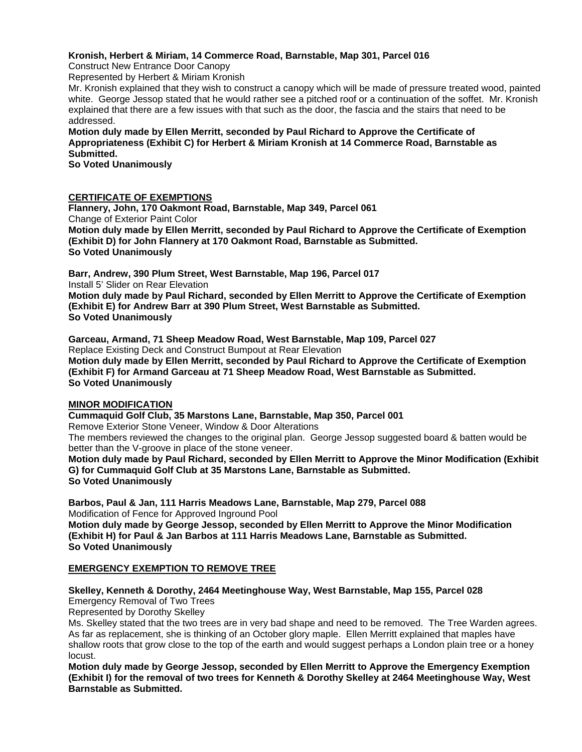## **Kronish, Herbert & Miriam, 14 Commerce Road, Barnstable, Map 301, Parcel 016**

Construct New Entrance Door Canopy

Represented by Herbert & Miriam Kronish

Mr. Kronish explained that they wish to construct a canopy which will be made of pressure treated wood, painted white. George Jessop stated that he would rather see a pitched roof or a continuation of the soffet. Mr. Kronish explained that there are a few issues with that such as the door, the fascia and the stairs that need to be addressed.

**Motion duly made by Ellen Merritt, seconded by Paul Richard to Approve the Certificate of Appropriateness (Exhibit C) for Herbert & Miriam Kronish at 14 Commerce Road, Barnstable as Submitted.** 

**So Voted Unanimously** 

## **CERTIFICATE OF EXEMPTIONS**

**Flannery, John, 170 Oakmont Road, Barnstable, Map 349, Parcel 061**  Change of Exterior Paint Color **Motion duly made by Ellen Merritt, seconded by Paul Richard to Approve the Certificate of Exemption (Exhibit D) for John Flannery at 170 Oakmont Road, Barnstable as Submitted. So Voted Unanimously** 

**Barr, Andrew, 390 Plum Street, West Barnstable, Map 196, Parcel 017**  Install 5' Slider on Rear Elevation

**Motion duly made by Paul Richard, seconded by Ellen Merritt to Approve the Certificate of Exemption (Exhibit E) for Andrew Barr at 390 Plum Street, West Barnstable as Submitted. So Voted Unanimously** 

**Garceau, Armand, 71 Sheep Meadow Road, West Barnstable, Map 109, Parcel 027**  Replace Existing Deck and Construct Bumpout at Rear Elevation **Motion duly made by Ellen Merritt, seconded by Paul Richard to Approve the Certificate of Exemption (Exhibit F) for Armand Garceau at 71 Sheep Meadow Road, West Barnstable as Submitted. So Voted Unanimously** 

#### **MINOR MODIFICATION**

**Cummaquid Golf Club, 35 Marstons Lane, Barnstable, Map 350, Parcel 001**  Remove Exterior Stone Veneer, Window & Door Alterations The members reviewed the changes to the original plan. George Jessop suggested board & batten would be better than the V-groove in place of the stone veneer.

**Motion duly made by Paul Richard, seconded by Ellen Merritt to Approve the Minor Modification (Exhibit G) for Cummaquid Golf Club at 35 Marstons Lane, Barnstable as Submitted. So Voted Unanimously** 

**Barbos, Paul & Jan, 111 Harris Meadows Lane, Barnstable, Map 279, Parcel 088**  Modification of Fence for Approved Inground Pool

**Motion duly made by George Jessop, seconded by Ellen Merritt to Approve the Minor Modification (Exhibit H) for Paul & Jan Barbos at 111 Harris Meadows Lane, Barnstable as Submitted. So Voted Unanimously** 

#### **EMERGENCY EXEMPTION TO REMOVE TREE**

# **Skelley, Kenneth & Dorothy, 2464 Meetinghouse Way, West Barnstable, Map 155, Parcel 028**

Emergency Removal of Two Trees

Represented by Dorothy Skelley

Ms. Skelley stated that the two trees are in very bad shape and need to be removed. The Tree Warden agrees. As far as replacement, she is thinking of an October glory maple. Ellen Merritt explained that maples have shallow roots that grow close to the top of the earth and would suggest perhaps a London plain tree or a honey locust.

**Motion duly made by George Jessop, seconded by Ellen Merritt to Approve the Emergency Exemption (Exhibit I) for the removal of two trees for Kenneth & Dorothy Skelley at 2464 Meetinghouse Way, West Barnstable as Submitted.**